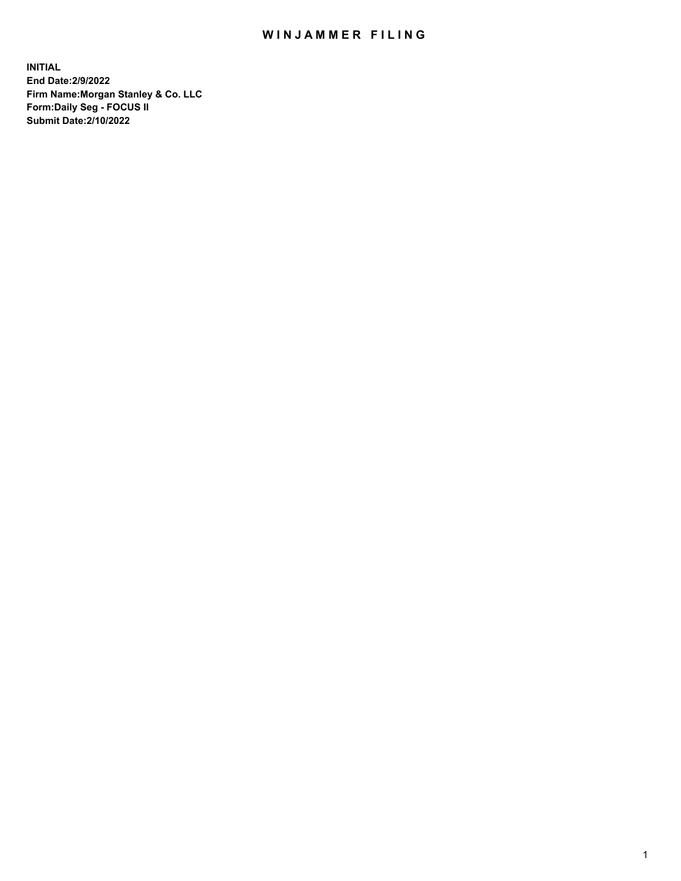## WIN JAMMER FILING

**INITIAL End Date:2/9/2022 Firm Name:Morgan Stanley & Co. LLC Form:Daily Seg - FOCUS II Submit Date:2/10/2022**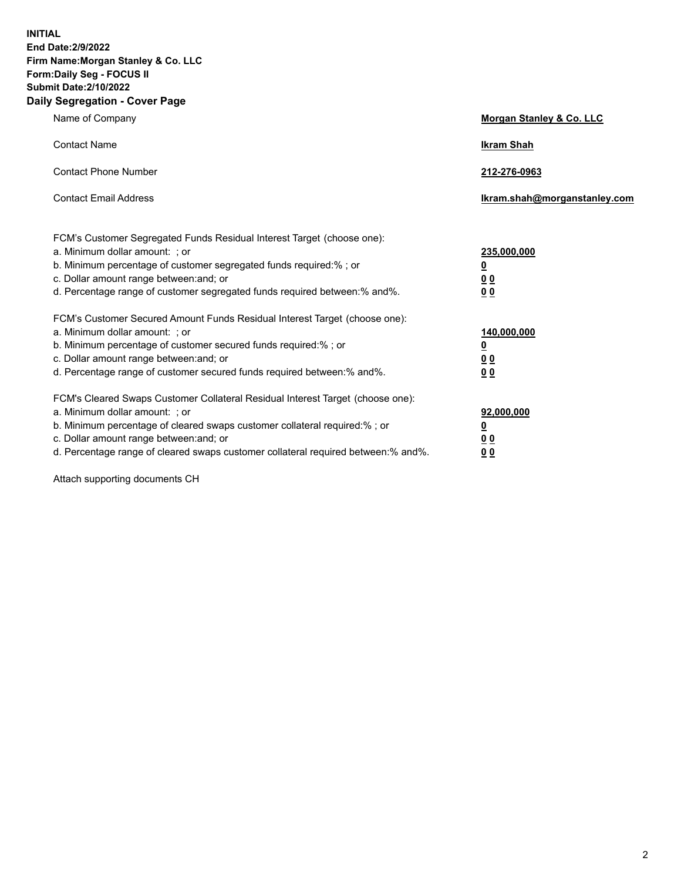**INITIAL End Date:2/9/2022 Firm Name:Morgan Stanley & Co. LLC Form:Daily Seg - FOCUS II Submit Date:2/10/2022 Daily Segregation - Cover Page**

| Name of Company                                                                                                                                                                                                                                                                                                                | <b>Morgan Stanley &amp; Co. LLC</b>                    |
|--------------------------------------------------------------------------------------------------------------------------------------------------------------------------------------------------------------------------------------------------------------------------------------------------------------------------------|--------------------------------------------------------|
| <b>Contact Name</b>                                                                                                                                                                                                                                                                                                            | <b>Ikram Shah</b>                                      |
| <b>Contact Phone Number</b>                                                                                                                                                                                                                                                                                                    | 212-276-0963                                           |
| <b>Contact Email Address</b>                                                                                                                                                                                                                                                                                                   | Ikram.shah@morganstanley.com                           |
| FCM's Customer Segregated Funds Residual Interest Target (choose one):<br>a. Minimum dollar amount: ; or<br>b. Minimum percentage of customer segregated funds required:% ; or<br>c. Dollar amount range between: and; or<br>d. Percentage range of customer segregated funds required between:% and%.                         | 235,000,000<br><u>0</u><br>0 Q<br>0 Q                  |
| FCM's Customer Secured Amount Funds Residual Interest Target (choose one):<br>a. Minimum dollar amount: ; or<br>b. Minimum percentage of customer secured funds required:% ; or<br>c. Dollar amount range between: and; or<br>d. Percentage range of customer secured funds required between: % and %.                         | 140,000,000<br><u>0</u><br><u>00</u><br>0 <sub>0</sub> |
| FCM's Cleared Swaps Customer Collateral Residual Interest Target (choose one):<br>a. Minimum dollar amount: ; or<br>b. Minimum percentage of cleared swaps customer collateral required:% ; or<br>c. Dollar amount range between: and; or<br>d. Percentage range of cleared swaps customer collateral required between:% and%. | 92,000,000<br><u>0</u><br>0 Q<br>00                    |

Attach supporting documents CH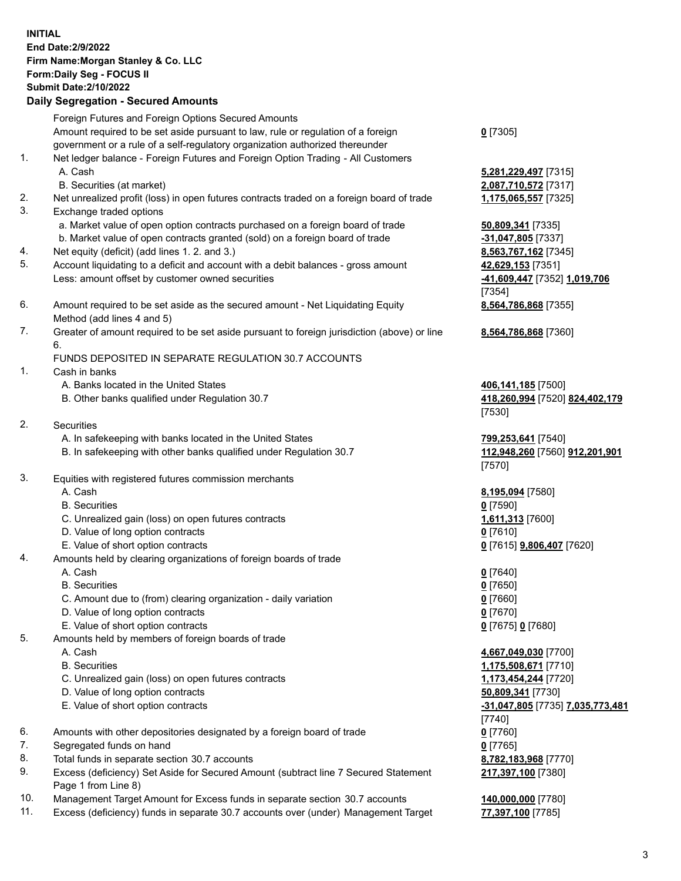## **INITIAL End Date:2/9/2022 Firm Name:Morgan Stanley & Co. LLC Form:Daily Seg - FOCUS II Submit Date:2/10/2022 Daily Segregation - Secured Amounts** Foreign Futures and Foreign Options Secured Amounts Amount required to be set aside pursuant to law, rule or regulation of a foreign government or a rule of a self-regulatory organization authorized thereunder 1. Net ledger balance - Foreign Futures and Foreign Option Trading - All Customers A. Cash **5,281,229,497** [7315] B. Securities (at market) **2,087,710,572** [7317] 2. Net unrealized profit (loss) in open futures contracts traded on a foreign board of trade **1,175,065,557** [7325] 3. Exchange traded options a. Market value of open option contracts purchased on a foreign board of trade **50,809,341** [7335] b. Market value of open contracts granted (sold) on a foreign board of trade **-31,047,805** [7337] 4. Net equity (deficit) (add lines 1. 2. and 3.) **8,563,767,162** [7345] 5. Account liquidating to a deficit and account with a debit balances - gross amount **42,629,153** [7351] Less: amount offset by customer owned securities **-41,609,447** [7352] **1,019,706** 6. Amount required to be set aside as the secured amount - Net Liquidating Equity Method (add lines 4 and 5) 7. Greater of amount required to be set aside pursuant to foreign jurisdiction (above) or line 6. FUNDS DEPOSITED IN SEPARATE REGULATION 30.7 ACCOUNTS 1. Cash in banks A. Banks located in the United States **406,141,185** [7500] B. Other banks qualified under Regulation 30.7 **418,260,994** [7520] **824,402,179** 2. Securities A. In safekeeping with banks located in the United States **799,253,641** [7540] B. In safekeeping with other banks qualified under Regulation 30.7 **112,948,260** [7560] **912,201,901** 3. Equities with registered futures commission merchants A. Cash **8,195,094** [7580] B. Securities **0** [7590] C. Unrealized gain (loss) on open futures contracts **1,611,313** [7600] D. Value of long option contracts **0** [7610] E. Value of short option contracts **0** [7615] **9,806,407** [7620] 4. Amounts held by clearing organizations of foreign boards of trade A. Cash **0** [7640] B. Securities **0** [7650] C. Amount due to (from) clearing organization - daily variation **0** [7660]

- D. Value of long option contracts **0** [7670]
- E. Value of short option contracts **0** [7675] **0** [7680]
- 5. Amounts held by members of foreign boards of trade
	-
	-
	- C. Unrealized gain (loss) on open futures contracts **1,173,454,244** [7720]
	- D. Value of long option contracts **50,809,341** [7730]
	- E. Value of short option contracts **-31,047,805** [7735] **7,035,773,481**
- 6. Amounts with other depositories designated by a foreign board of trade **0** [7760]
- 7. Segregated funds on hand **0** [7765]
- 8. Total funds in separate section 30.7 accounts **8,782,183,968** [7770]
- 9. Excess (deficiency) Set Aside for Secured Amount (subtract line 7 Secured Statement Page 1 from Line 8)
- 10. Management Target Amount for Excess funds in separate section 30.7 accounts **140,000,000** [7780]
- 11. Excess (deficiency) funds in separate 30.7 accounts over (under) Management Target **77,397,100** [7785]

[7354] **8,564,786,868** [7355] **8,564,786,868** [7360] [7530] [7570]

**0** [7305]

 A. Cash **4,667,049,030** [7700] B. Securities **1,175,508,671** [7710] [7740] **217,397,100** [7380]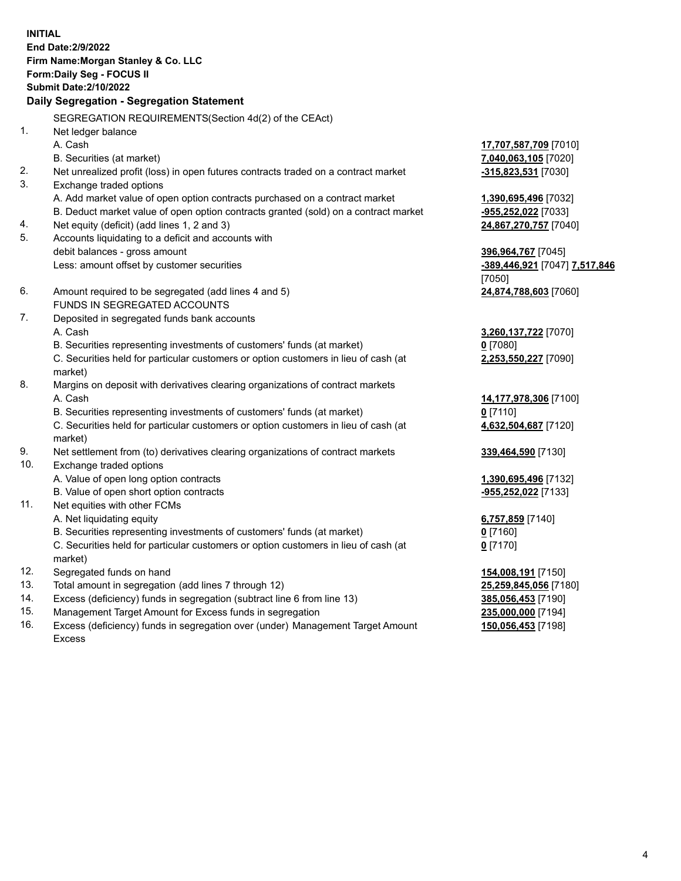**INITIAL End Date:2/9/2022 Firm Name:Morgan Stanley & Co. LLC Form:Daily Seg - FOCUS II Submit Date:2/10/2022 Daily Segregation - Segregation Statement** SEGREGATION REQUIREMENTS(Section 4d(2) of the CEAct) 1. Net ledger balance A. Cash **17,707,587,709** [7010] B. Securities (at market) **7,040,063,105** [7020] 2. Net unrealized profit (loss) in open futures contracts traded on a contract market **-315,823,531** [7030] 3. Exchange traded options A. Add market value of open option contracts purchased on a contract market **1,390,695,496** [7032] B. Deduct market value of open option contracts granted (sold) on a contract market **-955,252,022** [7033] 4. Net equity (deficit) (add lines 1, 2 and 3) **24,867,270,757** [7040] 5. Accounts liquidating to a deficit and accounts with debit balances - gross amount **396,964,767** [7045] Less: amount offset by customer securities **-389,446,921** [7047] **7,517,846** [7050] 6. Amount required to be segregated (add lines 4 and 5) **24,874,788,603** [7060] FUNDS IN SEGREGATED ACCOUNTS 7. Deposited in segregated funds bank accounts A. Cash **3,260,137,722** [7070] B. Securities representing investments of customers' funds (at market) **0** [7080] C. Securities held for particular customers or option customers in lieu of cash (at market) **2,253,550,227** [7090] 8. Margins on deposit with derivatives clearing organizations of contract markets A. Cash **14,177,978,306** [7100] B. Securities representing investments of customers' funds (at market) **0** [7110] C. Securities held for particular customers or option customers in lieu of cash (at market) **4,632,504,687** [7120] 9. Net settlement from (to) derivatives clearing organizations of contract markets **339,464,590** [7130] 10. Exchange traded options A. Value of open long option contracts **1,390,695,496** [7132] B. Value of open short option contracts **-955,252,022** [7133] 11. Net equities with other FCMs A. Net liquidating equity **6,757,859** [7140] B. Securities representing investments of customers' funds (at market) **0** [7160] C. Securities held for particular customers or option customers in lieu of cash (at market) **0** [7170] 12. Segregated funds on hand **154,008,191** [7150] 13. Total amount in segregation (add lines 7 through 12) **25,259,845,056** [7180] 14. Excess (deficiency) funds in segregation (subtract line 6 from line 13) **385,056,453** [7190] 15. Management Target Amount for Excess funds in segregation **235,000,000** [7194]

16. Excess (deficiency) funds in segregation over (under) Management Target Amount Excess

**150,056,453** [7198]